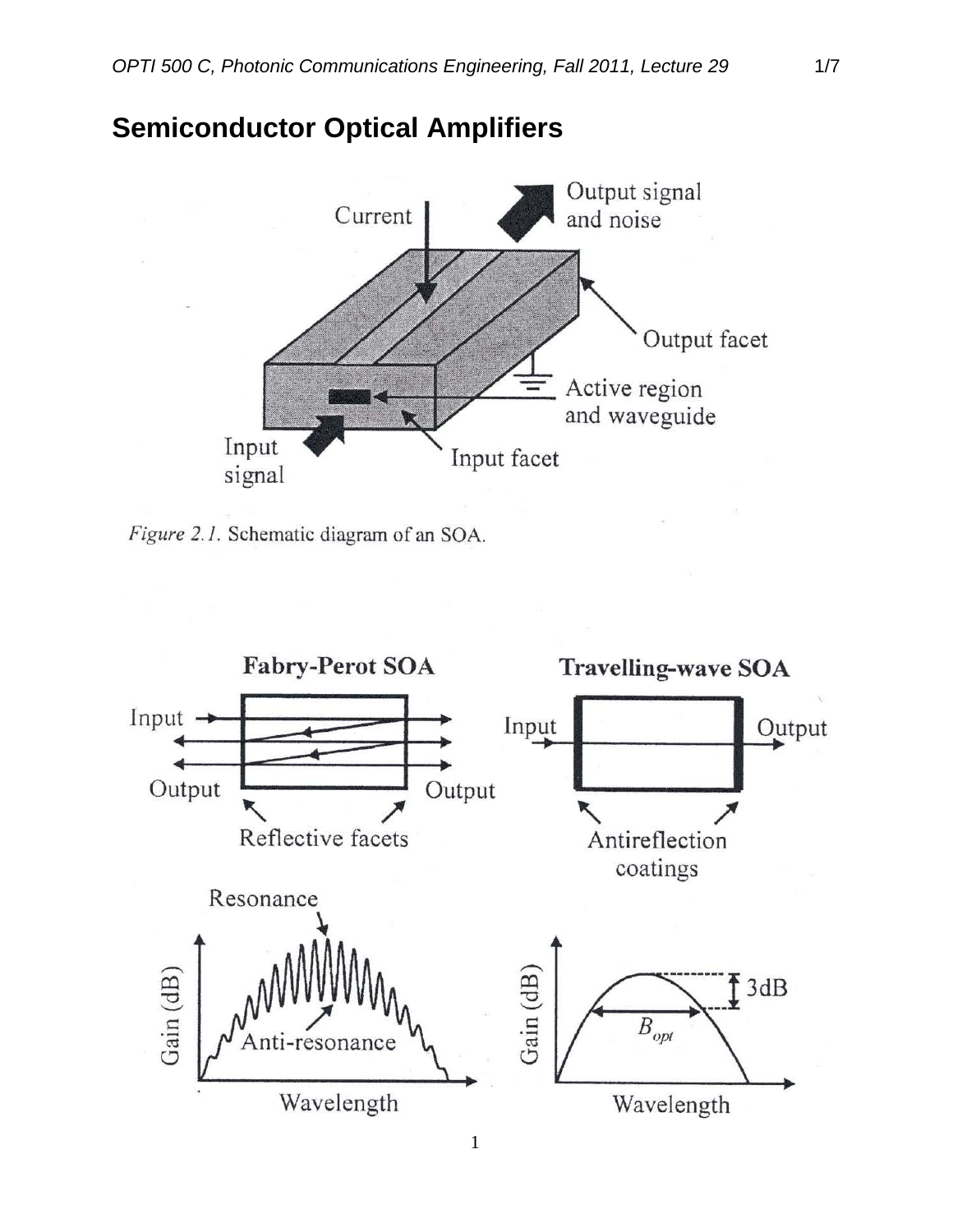

## **Semiconductor Optical Amplifiers**

Figure 2.1. Schematic diagram of an SOA.

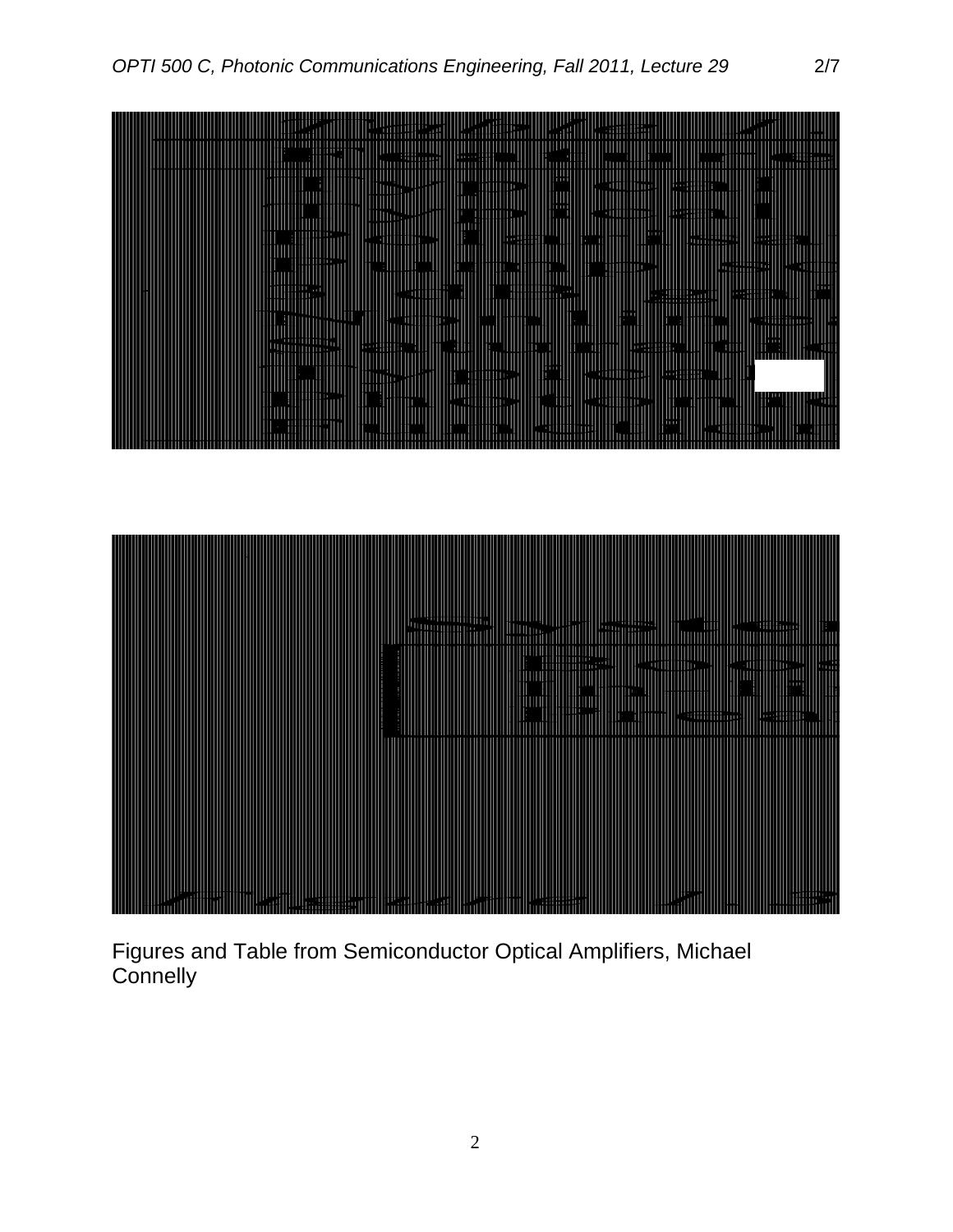

Figures and Table from Semiconductor Optical Amplifiers, Michael **Connelly**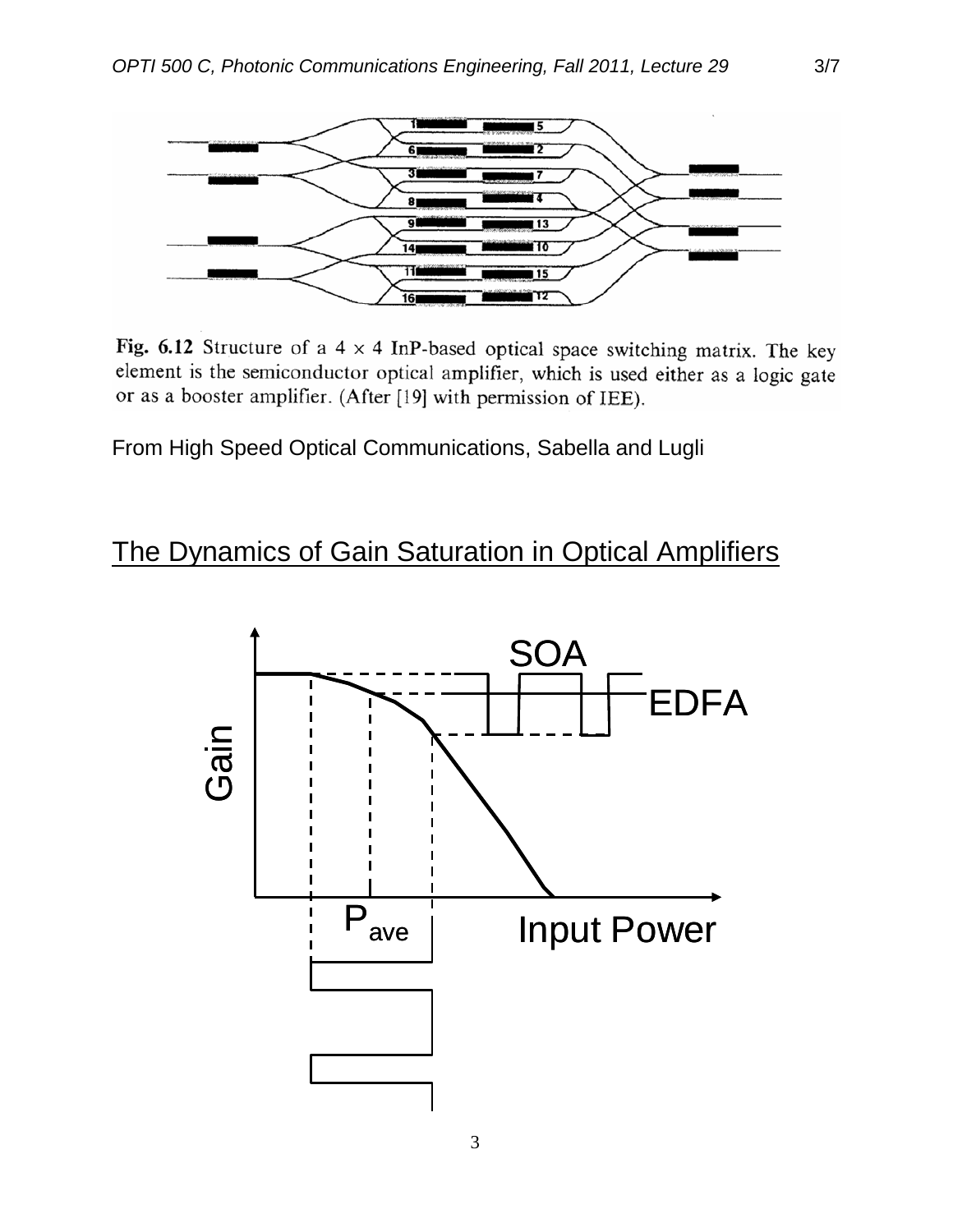

Fig. 6.12 Structure of a  $4 \times 4$  InP-based optical space switching matrix. The key element is the semiconductor optical amplifier, which is used either as a logic gate or as a booster amplifier. (After [19] with permission of IEE).

From High Speed Optical Communications, Sabella and Lugli

#### The Dynamics of Gain Saturation in Optical Amplifiers

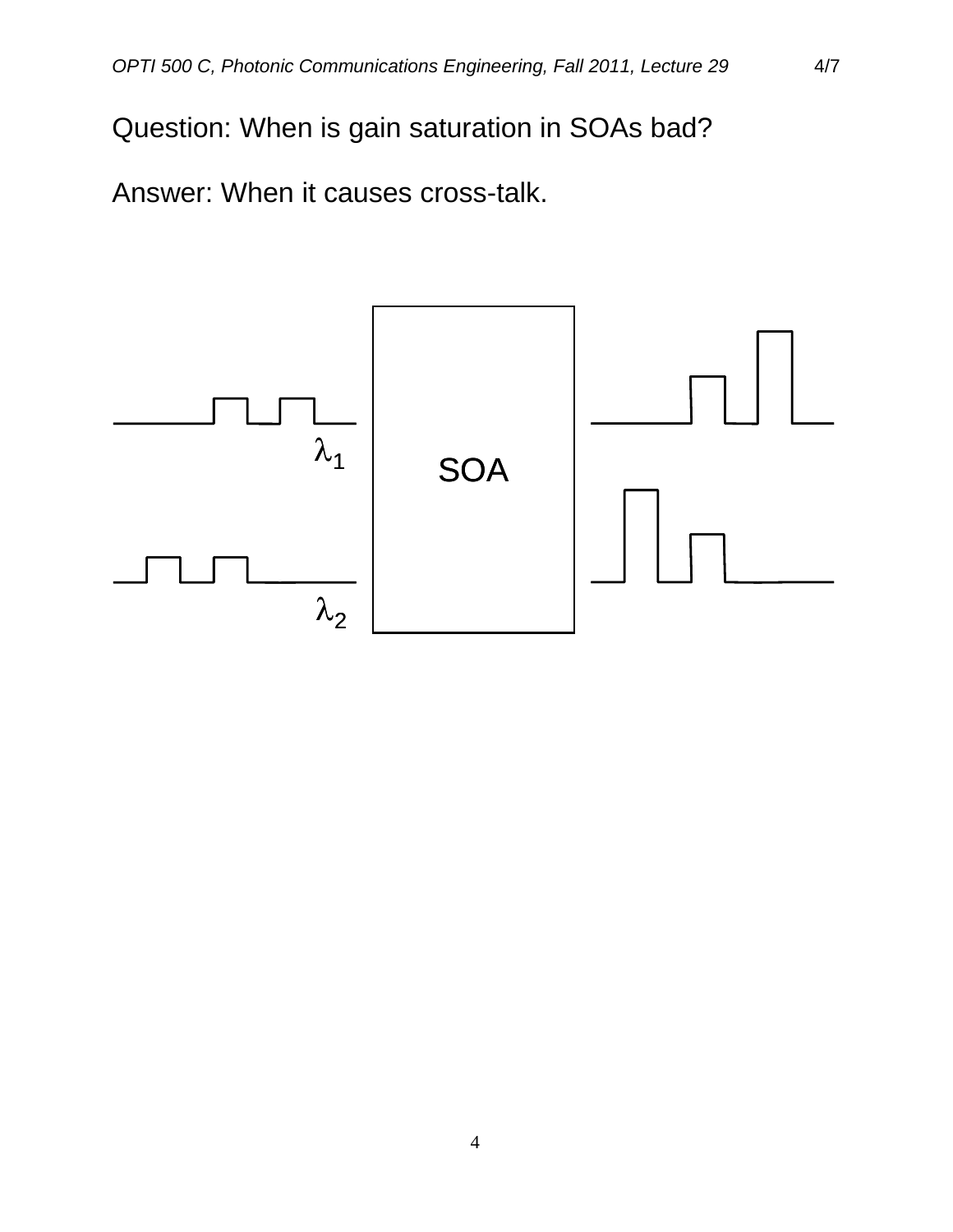Question: When is gain saturation in SOAs bad?

Answer: When it causes cross-talk.

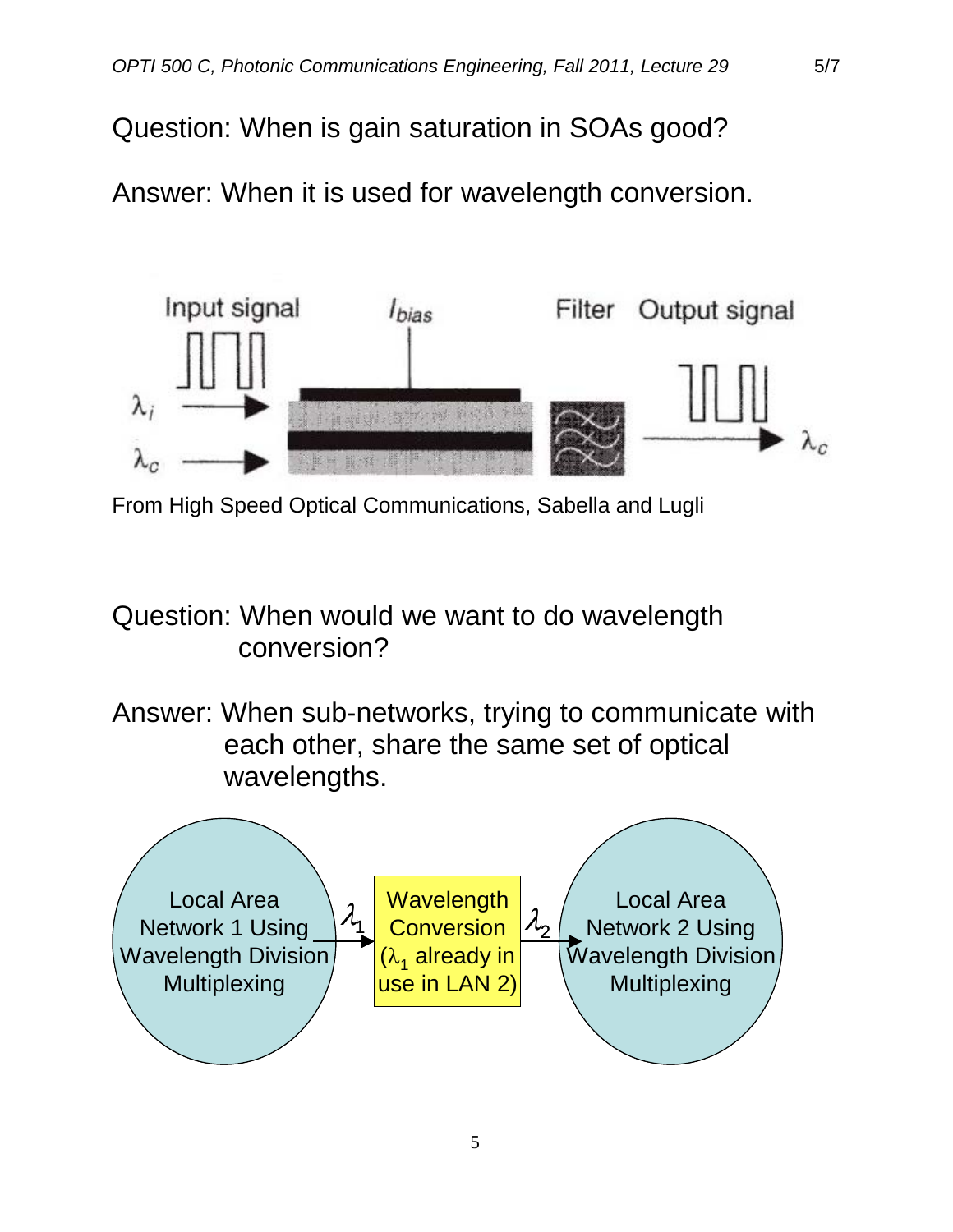Question: When is gain saturation in SOAs good?

Answer: When it is used for wavelength conversion.



From High Speed Optical Communications, Sabella and Lugli

## Question: When would we want to do wavelength conversion?

Answer: When sub-networks, trying to communicate with each other, share the same set of optical wavelengths.

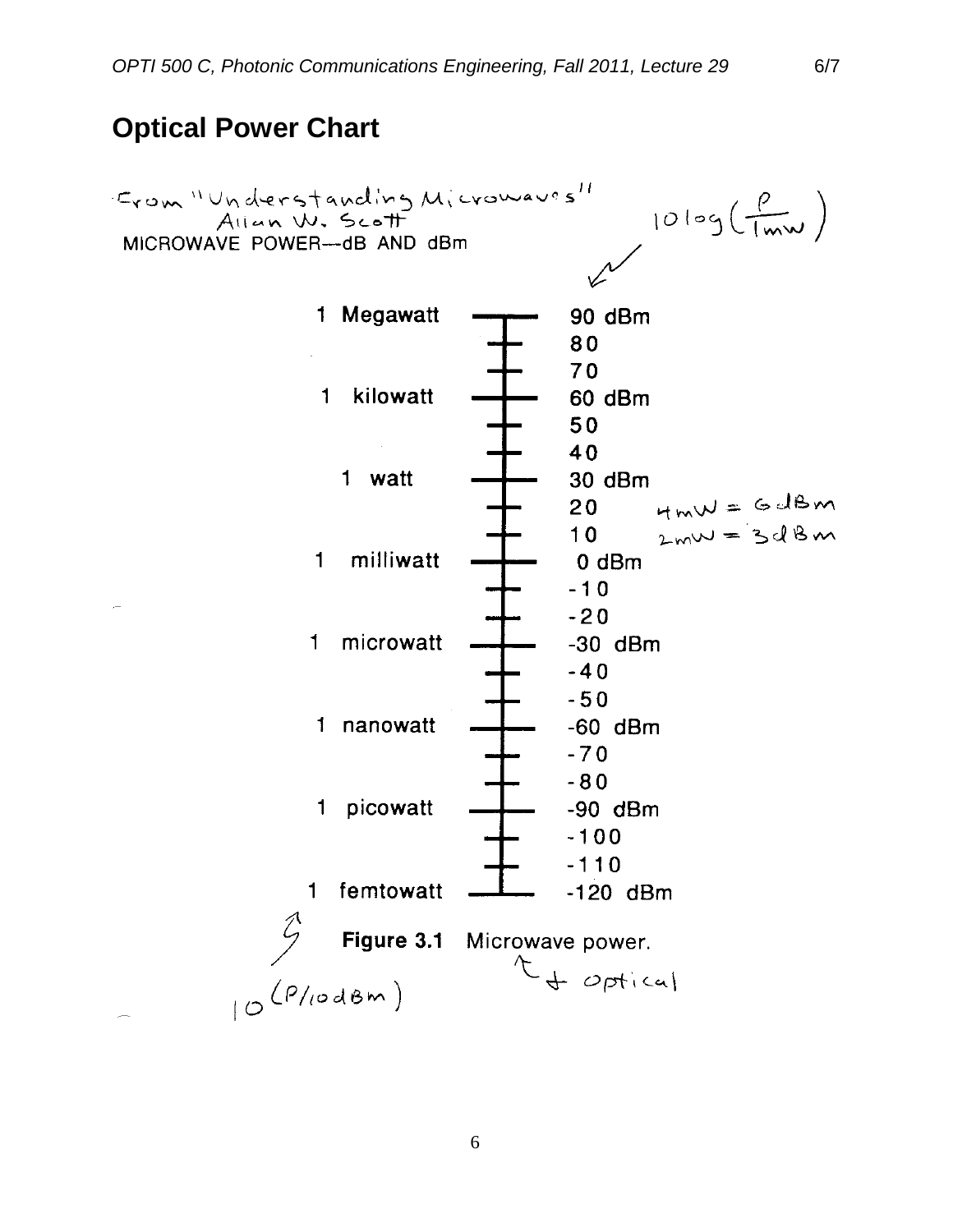#### **Optical Power Chart**